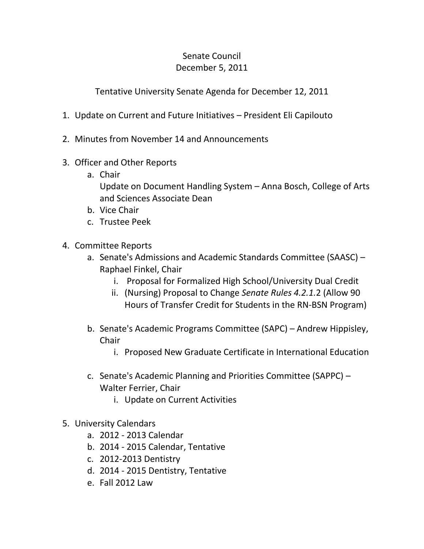## Senate Council December 5, 2011

Tentative University Senate Agenda for December 12, 2011

- 1. Update on Current and Future Initiatives President Eli Capilouto
- 2. Minutes from November 14 and Announcements
- 3. Officer and Other Reports
	- a. Chair

Update on Document Handling System – Anna Bosch, College of Arts and Sciences Associate Dean

- b. Vice Chair
- c. Trustee Peek
- 4. Committee Reports
	- a. Senate's Admissions and Academic Standards Committee (SAASC) Raphael Finkel, Chair
		- i. Proposal for Formalized High School/University Dual Credit
		- ii. (Nursing) Proposal to Change *Senate Rules 4.2.1.*2 (Allow 90 Hours of Transfer Credit for Students in the RN-BSN Program)
	- b. Senate's Academic Programs Committee (SAPC) Andrew Hippisley, Chair
		- i. Proposed New Graduate Certificate in International Education
	- c. Senate's Academic Planning and Priorities Committee (SAPPC) Walter Ferrier, Chair
		- i. Update on Current Activities
- 5. University Calendars
	- a. 2012 2013 Calendar
	- b. 2014 2015 Calendar, Tentative
	- c. 2012-2013 Dentistry
	- d. 2014 2015 Dentistry, Tentative
	- e. Fall 2012 Law